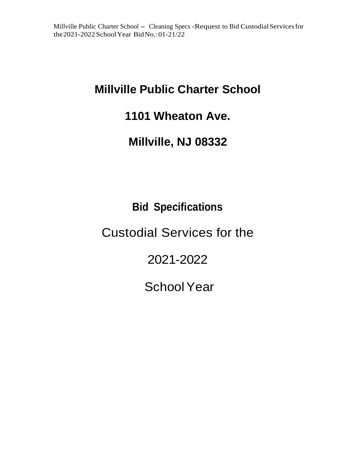# **Millville Public Charter School**

## **1101 Wheaton Ave.**

## **Millville, NJ 08332**

# **Bid Specifications**

# Custodial Services for the

# 2021-2022

# School Year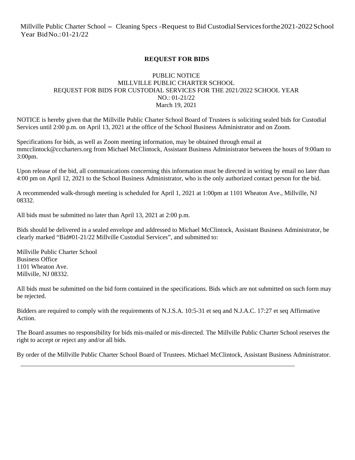## **REQUEST FOR BIDS**

### PUBLIC NOTICE MILLVILLE PUBLIC CHARTER SCHOOL REQUEST FOR BIDS FOR CUSTODIAL SERVICES FOR THE 2021/2022 SCHOOL YEAR NO.: 01-21/22 March 19, 2021

NOTICE is hereby given that the Millville Public Charter School Board of Trustees is soliciting sealed bids for Custodial Services until 2:00 p.m. on April 13, 2021 at the office of the School Business Administrator and on Zoom.

Specifications for bids, as well as Zoom meeting information, may be obtained through email at mmcclintock@cccharters.org from Michael McClintock, Assistant Business Administrator between the hours of 9:00am to 3:00pm.

Upon release of the bid, all communications concerning this information must be directed in writing by email no later than 4:00 pm on April 12, 2021 to the School Business Administrator, who is the only authorized contact person for the bid.

A recommended walk-through meeting is scheduled for April 1, 2021 at 1:00pm at 1101 Wheaton Ave., Millville, NJ 08332.

All bids must be submitted no later than April 13, 2021 at 2:00 p.m.

Bids should be delivered in a sealed envelope and addressed to Michael McClintock, Assistant Business Administrator, be clearly marked "Bid#01-21/22 Millville Custodial Services", and submitted to:

Millville Public Charter School Business Office 1101 Wheaton Ave. Millville, NJ 08332.

All bids must be submitted on the bid form contained in the specifications. Bids which are not submitted on such form may be rejected.

Bidders are required to comply with the requirements of N.J.S.A. 10:5-31 et seq and N.J.A.C. 17:27 et seq Affirmative Action.

The Board assumes no responsibility for bids mis-mailed or mis-directed. The Millville Public Charter School reserves the right to accept or reject any and/or all bids.

By order of the Millville Public Charter School Board of Trustees. Michael McClintock, Assistant Business Administrator.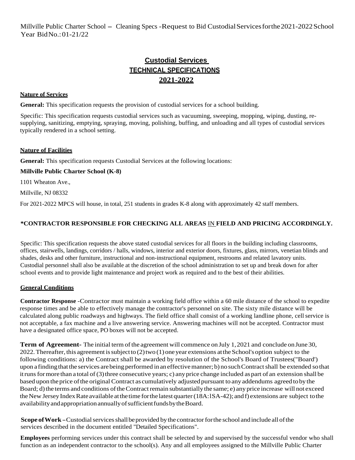## **Custodial Services TECHNICAL SPECIFICATIONS 2021-2022**

#### **Nature of Services**

**General:** This specification requests the provision of custodial services for a school building.

Specific: This specification requests custodial services such as vacuuming, sweeping, mopping, wiping, dusting, resupplying, sanitizing, emptying, spraying, moving, polishing, buffing, and unloading and all types of custodial services typically rendered in a school setting.

#### **Nature of Facilities**

**General:** This specification requests Custodial Services at the following locations:

#### **Millville Public Charter School (K-8)**

1101 Wheaton Ave.,

Millville, NJ 08332

For 2021-2022 MPCS will house, in total, 251 students in grades K-8 along with approximately 42 staff members.

### **\*CONTRACTOR RESPONSIBLE FOR CHECKING ALL AREAS** IN **FIELD AND PRICING ACCORDINGLY.**

Specific: This specification requests the above stated custodial services for all floors in the building including classrooms, offices, stairwells, landings, corridors / halls, windows, interior and exterior doors, fixtures, glass, mirrors, venetian blinds and shades, desks and other furniture, instructional and non-instructional equipment, restrooms and related lavatory units. Custodial personnel shall also be available at the discretion of the school administration to set up and break down for after school events and to provide light maintenance and project work as required and to the best of their abilities.

### **General Conditions**

**Contractor Response** -Contractor must maintain a working field office within a 60 mile distance of the school to expedite response times and be able to effectively manage the contractor's personnel on site. The sixty mile distance will be calculated along public roadways and highways. The field office shall consist of a working landline phone, cell service is not acceptable, a fax machine and a live answering service. Answering machines will not be accepted. Contractor must have a designated office space, PO boxes will not be accepted.

**Term of Agreement-** The initial term of the agreement will commence on July 1, 2021 and conclude on June 30, 2022. Thereafter, this agreement is subject to (2) two (1) one year extensions at the School's option subject to the following conditions: a) the Contract shall be awarded by resolution of the School's Board of Trustees("Board') upon a finding that the services are being performed in an effective manner; b) no such Contract shall be extended so that it runs for more than a total of (3) three consecutive years; c) any price change included as part of an extension shall be based upon the price of the original Contract as cumulatively adjusted pursuant to any addendums agreed to by the Board; d) the terms and conditions of the Contract remain substantially the same; e) any price increase will not exceed the New Jersey Index Rate available at the time for the latest quarter (18A: 1SA-42); and f) extensions are subject to the availability and appropriation annually of sufficient funds by the Board.

**Scope of Work** - Custodial services shall be provided by the contractor for the school and include all of the services described in the document entitled "Detailed Specifications".

**Employees** performing services under this contract shall be selected by and supervised by the successful vendor who shall function as an independent contractor to the school(s). Any and all employees assigned to the Millville Public Charter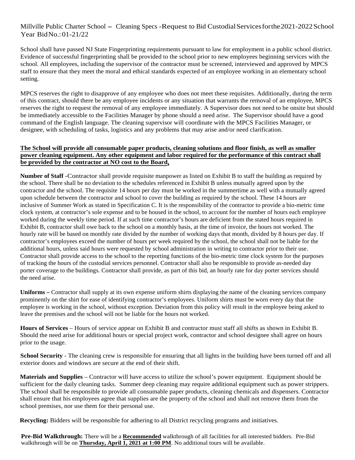School shall have passed NJ State Fingerprinting requirements pursuant to law for employment in a public school district. Evidence of successful fingerprinting shall be provided to the school prior to new employees beginning services with the school. All employees, including the supervisor of the contractor must be screened, interviewed and approved by MPCS staff to ensure that they meet the moral and ethical standards expected of an employee working in an elementary school setting.

MPCS reserves the right to disapprove of any employee who does not meet these requisites. Additionally, during the term of this contract, should there be any employee incidents or any situation that warrants the removal of an employee, MPCS reserves the right to request the removal of any employee immediately. A Supervisor does not need to be onsite but should be immediately accessible to the Facilities Manager by phone should a need arise. The Supervisor should have a good command of the English language. The cleaning supervisor will coordinate with the MPCS Facilities Manager, or designee, with scheduling of tasks, logistics and any problems that may arise and/or need clarification.

### **The School will provide all consumable paper products, cleaning solutions and floor finish, as well as smaller power cleaning equipment. Any other equipment and labor required for the performance of this contract shall be provided by the contractor at NO cost to the Board.**

**Number of Staff** -Contractor shall provide requisite manpower as listed on Exhibit B to staff the building as required by the school. There shall be no deviation to the schedules referenced in Exhibit B unless mutually agreed upon by the contractor and the school. The requisite 14 hours per day must be worked in the summertime as well with a mutually agreed upon schedule between the contractor and school to cover the building as required by the school. These 14 hours are inclusive of Summer Work as stated in Specification C. It is the responsibility of the contractor to provide a bio-metric time clock system, at contractor's sole expense and to be housed in the school, to account for the number of hours each employee worked during the weekly time period. If at such time contractor's hours are deficient from the stated hours required in Exhibit B, contractor shall owe back to the school on a monthly basis, at the time of invoice, the hours not worked. The hourly rate will be based on monthly rate divided by the number of working days that month, divided by 8 hours per day. If contractor's employees exceed the number of hours per week required by the school, the school shall not be liable for the additional hours, unless said hours were requested by school administration in writing to contractor prior to their use. Contractor shall provide access to the school to the reporting functions of the bio-metric time clock system for the purposes of tracking the hours of the custodial services personnel. Contractor shall also be responsible to provide as-needed day porter coverage to the buildings. Contractor shall provide, as part of this bid, an hourly rate for day porter services should the need arise.

**Uniforms –** Contractor shall supply at its own expense uniform shirts displaying the name of the cleaning services company prominently on the shirt for ease of identifying contractor's employees. Uniform shirts must be worn every day that the employee is working in the school, without exception. Deviation from this policy will result in the employee being asked to leave the premises and the school will not be liable for the hours not worked.

**Hours of Services** – Hours of service appear on Exhibit B and contractor must staff all shifts as shown in Exhibit B. Should the need arise for additional hours or special project work, contractor and school designee shall agree on hours prior to the usage.

**School Security** - The cleaning crew is responsible for ensuring that all lights in the building have been turned off and all exterior doors and windows are secure at the end of their shift.

**Materials and Supplies** – Contractor will have access to utilize the school's power equipment. Equipment should be sufficient for the daily cleaning tasks. Summer deep cleaning may require additional equipment such as power strippers. The school shall be responsible to provide all consumable paper products, cleaning chemicals and dispensers. Contractor shall ensure that his employees agree that supplies are the property of the school and shall not remove them from the school premises, nor use them for their personal use.

**Recycling:** Bidders will be responsible for adhering to all District recycling programs and initiatives.

**Pre-Bid Walkthrough:** There will be a **Recommended** walkthrough of all facilities for all interested bidders. Pre-Bid walkthrough will be on **Thursday, April 1, 2021 at 1:00 PM**. No additional tours will be available.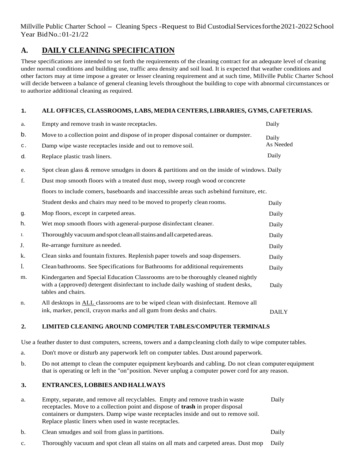## **A. DAILY CLEANING SPECIFICATION**

These specifications are intended to set forth the requirements of the cleaning contract for an adequate level of cleaning under normal conditions and building use, traffic area density and soil load. It is expected that weather conditions and other factors may at time impose a greater or lesser cleaning requirement and at such time, Millville Public Charter School will decide between a balance of general cleaning levels throughout the building to cope with abnormal circumstances or to authorize additional cleaning as required.

## **1. ALL OFFICES, CLASSROOMS, LABS, MEDIA CENTERS, LIBRARIES, GYMS, CAFETERIAS.**

| a.             | Empty and remove trash in waste receptacles.                                                                                                                                                    | Daily        |
|----------------|-------------------------------------------------------------------------------------------------------------------------------------------------------------------------------------------------|--------------|
| b.             | Move to a collection point and dispose of in proper disposal container or dumpster.                                                                                                             | Daily        |
| $\mathtt{C}$ . | Damp wipe waste receptacles inside and out to remove soil.                                                                                                                                      | As Needed    |
| d.             | Replace plastic trash liners.                                                                                                                                                                   | Daily        |
| e.             | Spot clean glass & remove smudges in doors & partitions and on the inside of windows. Daily                                                                                                     |              |
| f.             | Dust mop smooth floors with a treated dust mop, sweep rough wood or concrete                                                                                                                    |              |
|                | floors to include comers, baseboards and inaccessible areas such as behind furniture, etc.                                                                                                      |              |
|                | Student desks and chairs may need to be moved to properly clean rooms.                                                                                                                          | Daily        |
| g.             | Mop floors, except in carpeted areas.                                                                                                                                                           | Daily        |
| h.             | Wet mop smooth floors with a general-purpose disinfectant cleaner.                                                                                                                              | Daily        |
| I.             | Thoroughly vacuum and spot clean all stains and all carpeted areas.                                                                                                                             | Daily        |
| J.             | Re-arrange furniture as needed.                                                                                                                                                                 | Daily        |
| k.             | Clean sinks and fountain fixtures. Replenish paper towels and soap dispensers.                                                                                                                  | Daily        |
| I.             | Clean bathrooms. See Specifications for Bathrooms for additional requirements                                                                                                                   | Daily        |
| m.             | Kindergarten and Special Education Classrooms are to be thoroughly cleaned nightly<br>with a (approved) detergent disinfectant to include daily washing of student desks,<br>tables and chairs. | Daily        |
| n.             | All desktops in ALL classrooms are to be wiped clean with disinfectant. Remove all<br>ink, marker, pencil, crayon marks and all gum from desks and chairs.                                      | <b>DAILY</b> |

## **2. LIMITED CLEANING AROUND COMPUTER TABLES/COMPUTER TERMINALS**

Use a feather duster to dust computers, screens, towers and a damp cleaning cloth daily to wipe computer tables.

- a. Don't move or disturb any paperwork left on computer tables. Dust around paperwork.
- b. Do not attempt to clean the computer equipment keyboards and cabling. Do not clean computer equipment that is operating or left in the "on" position. Never unplug a computer power cord for any reason.

## **3. ENTRANCES, LOBBIES AND HALLWAYS**

- a. Empty, separate, and remove all recyclables. Empty and remove trash in waste Daily receptacles. Move to a collection point and dispose of **trash** in proper disposal containers or dumpsters. Damp wipe waste receptacles inside and out to remove soil. Replace plastic liners when used in waste receptacles.
- b. Clean smudges and soil from glass in partitions. Daily
- c. Thoroughly vacuum and spot clean all stains on all mats and carpeted areas. Dust mop Daily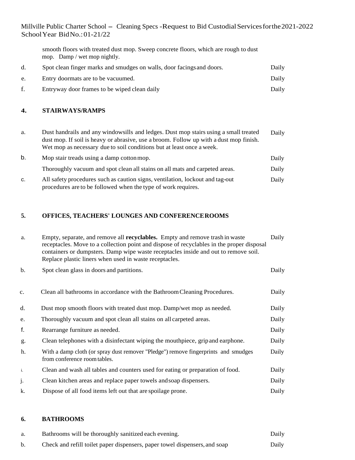smooth floors with treated dust mop. Sweep concrete floors, which are rough to dust mop. Damp / wet mop nightly.

|    | Spot clean finger marks and smudges on walls, door facings and doors. | Daily |
|----|-----------------------------------------------------------------------|-------|
| e. | Entry doormats are to be vacuumed.                                    | Daily |
|    | Entryway door frames to be wiped clean daily                          | Daily |

#### **4. STAIRWAYS/RAMPS**

| a. | Dust handrails and any windowsills and ledges. Dust mop stairs using a small treated<br>dust mop. If soil is heavy or abrasive, use a broom. Follow up with a dust mop finish.<br>Wet mop as necessary due to soil conditions but at least once a week. | Daily |
|----|---------------------------------------------------------------------------------------------------------------------------------------------------------------------------------------------------------------------------------------------------------|-------|
| b. | Mop stair treads using a damp cotton mop.                                                                                                                                                                                                               | Daily |
|    | Thoroughly vacuum and spot clean all stains on all mats and carpeted areas.                                                                                                                                                                             | Daily |
| C. | All safety procedures such as caution signs, ventilation, lockout and tag-out<br>procedures are to be followed when the type of work requires.                                                                                                          | Daily |

## **5. OFFICES, TEACHERS' LOUNGES AND CONFERENCE ROOMS**

| a.             | Empty, separate, and remove all <b>recyclables.</b> Empty and remove trash in waste<br>receptacles. Move to a collection point and dispose of recyclables in the proper disposal<br>containers or dumpsters. Damp wipe waste receptacles inside and out to remove soil.<br>Replace plastic liners when used in waste receptacles. | Daily |
|----------------|-----------------------------------------------------------------------------------------------------------------------------------------------------------------------------------------------------------------------------------------------------------------------------------------------------------------------------------|-------|
| b.             | Spot clean glass in doors and partitions.                                                                                                                                                                                                                                                                                         | Daily |
| $\mathbf{c}$ . | Clean all bathrooms in accordance with the Bathroom Cleaning Procedures.                                                                                                                                                                                                                                                          | Daily |
| d.             | Dust mop smooth floors with treated dust mop. Damp/wet mop as needed.                                                                                                                                                                                                                                                             | Daily |
| e.             | Thoroughly vacuum and spot clean all stains on all carpeted areas.                                                                                                                                                                                                                                                                | Daily |
| f.             | Rearrange furniture as needed.                                                                                                                                                                                                                                                                                                    | Daily |
| g.             | Clean telephones with a disinfectant wiping the mouthpiece, grip and earphone.                                                                                                                                                                                                                                                    | Daily |
| h.             | With a damp cloth (or spray dust remover "Pledge") remove fingerprints and smudges<br>from conference room tables.                                                                                                                                                                                                                | Daily |
| i.             | Clean and wash all tables and counters used for eating or preparation of food.                                                                                                                                                                                                                                                    | Daily |
| j.             | Clean kitchen areas and replace paper towels and soap dispensers.                                                                                                                                                                                                                                                                 | Daily |
| k.             | Dispose of all food items left out that are spoilage prone.                                                                                                                                                                                                                                                                       | Daily |

### **6. BATHROOMS**

| a. | Bathrooms will be thoroughly sanitized each evening.                       | Daily |
|----|----------------------------------------------------------------------------|-------|
| b. | Check and refill toilet paper dispensers, paper towel dispensers, and soap | Daily |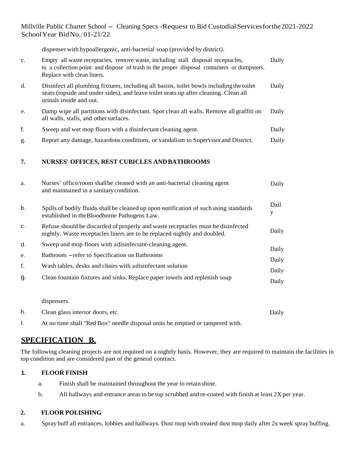dispenser with hypoallergenic, anti-bacterial soap (provided by district).

| $\mathbf{c}$ . | Empty all waste receptacles, remove waste, including stall disposal receptacles,<br>to a collection point and dispose of trash in the proper disposal containers or dumpsters.<br>Replace with clean liners. | Daily |
|----------------|--------------------------------------------------------------------------------------------------------------------------------------------------------------------------------------------------------------|-------|
| d.             | Disinfect all plumbing fixtures, including all basins, toilet bowls including the toilet<br>seats (topside and under sides), and leave toilet seats up after cleaning. Clean all<br>urinals inside and out.  | Daily |
| e.             | Damp wipe all partitions with disinfectant. Spot clean all walls. Remove all graffition<br>all walls, stalls, and other surfaces.                                                                            | Daily |
| f.             | Sweep and wet mop floors with a disinfectant cleaning agent.                                                                                                                                                 | Daily |
| g.             | Report any damage, hazardous conditions, or vandalism to Supervisor and District.                                                                                                                            | Daily |
|                |                                                                                                                                                                                                              |       |

## **7. NURSES' OFFICES, REST CUBICLES AND BATHROOMS**

| a.             | Nurses' office/room shallbe cleaned with an anti-bacterial cleaning agent<br>and maintained in a sanitary condition.                                          | Daily     |
|----------------|---------------------------------------------------------------------------------------------------------------------------------------------------------------|-----------|
| b.             | Spills of bodily fluids shall be cleaned up upon notification of such using standards<br>established in the Bloodborne Pathogens Law.                         | Dail<br>у |
| $\mathsf{C}$ . | Refuse should be discarded of properly and waste receptacles must be disinfected<br>nightly. Waste receptacles liners are to be replaced nightly and doubled. | Daily     |
| d.             | Sweep and mop floors with a disinfectant-cleaning agent.                                                                                                      | Daily     |
| e.             | Bathroom - refer to Specification on Bathrooms                                                                                                                | Daily     |
| f.             | Wash tables, desks and chairs with a disinfectant solution                                                                                                    | Daily     |
| g.             | Clean fountain fixtures and sinks. Replace paper towels and replenish soap                                                                                    | Daily     |
|                |                                                                                                                                                               |           |
|                | dispensers.                                                                                                                                                   |           |

h. Clean glass interior doors, etc. Daily

I. At no time shall "Red Box" needle disposal units be emptied or tampered with.

## **SPECIFICATION B.**

The following cleaning projects are not required on a nightly basis. However, they are required to maintain the facilities in top condition and are considered part of the general contract.

## **1. FLOOR FINISH**

- a. Finish shall be maintained throughout the year to retain shine.
- b. All hallways and entrance areas to be top scrubbed and re-coated with finish at least 2X per year.

## **2. FLOOR POLISHING**

a. Spray buff all entrances, lobbies and hallways. Dust mop with treated dust mop daily after 2x week spray buffing.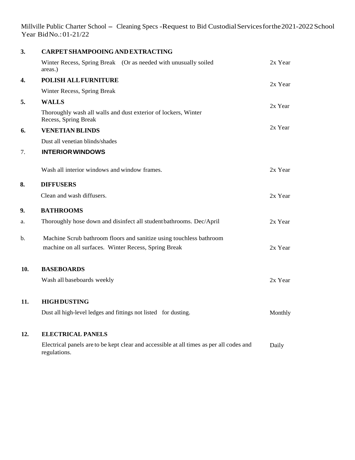| 3.            | <b>CARPET SHAMPOOING AND EXTRACTING</b>                                                |         |
|---------------|----------------------------------------------------------------------------------------|---------|
|               | Winter Recess, Spring Break (Or as needed with unusually soiled<br>areas.)             | 2x Year |
| 4.            | <b>POLISH ALL FURNITURE</b>                                                            | 2x Year |
|               | Winter Recess, Spring Break                                                            |         |
| 5.            | <b>WALLS</b>                                                                           | 2x Year |
|               | Thoroughly wash all walls and dust exterior of lockers, Winter<br>Recess, Spring Break |         |
| 6.            | <b>VENETIAN BLINDS</b>                                                                 | 2x Year |
|               | Dust all venetian blinds/shades                                                        |         |
| 7.            | <b>INTERIOR WINDOWS</b>                                                                |         |
|               | Wash all interior windows and window frames.                                           | 2x Year |
| 8.            | <b>DIFFUSERS</b>                                                                       |         |
|               | Clean and wash diffusers.                                                              | 2x Year |
| 9.            | <b>BATHROOMS</b>                                                                       |         |
| a.            | Thoroughly hose down and disinfect all student bathrooms. Dec/April                    | 2x Year |
| $\mathbf b$ . | Machine Scrub bathroom floors and sanitize using touchless bathroom                    |         |
|               | machine on all surfaces. Winter Recess, Spring Break                                   | 2x Year |
| 10.           | <b>BASEBOARDS</b>                                                                      |         |
|               | Wash all baseboards weekly                                                             | 2x Year |
| 11.           | <b>HIGHDUSTING</b>                                                                     |         |
|               | Dust all high-level ledges and fittings not listed for dusting.                        | Monthly |
| 12.           | <b>ELECTRICAL PANELS</b>                                                               |         |
|               |                                                                                        |         |

Electrical panels are to be kept clear and accessible at all times as per all codes and regulations. Daily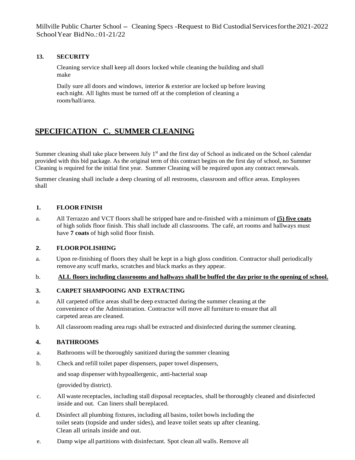### **13. SECURITY**

Cleaning service shall keep all doors locked while cleaning the building and shall make

Daily sure all doors and windows, interior & exterior are locked up before leaving each night. All lights must be turned off at the completion of cleaning a room/hall/area.

## **SPECIFICATION C. SUMMER CLEANING**

Summer cleaning shall take place between July  $1<sup>st</sup>$  and the first day of School as indicated on the School calendar provided with this bid package. As the original term of this contract begins on the first day of school, no Summer Cleaning is required for the initial first year. Summer Cleaning will be required upon any contract renewals.

Summer cleaning shall include a deep cleaning of all restrooms, classroom and office areas. Employees shall

#### **1. FLOOR FINISH**

a. All Terrazzo and VCT floors shall be stripped bare and re-finished with a minimum of **(5) five coats** of high solids floor finish. This shall include all classrooms. The café, art rooms and hallways must have **7 coats** of high solid floor finish.

#### **2. FLOOR POLISHING**

a. Upon re-finishing of floors they shall be kept in a high gloss condition. Contractor shall periodically remove any scuff marks, scratches and black marks as they appear.

#### b. **ALL floors including classrooms and hallways shall be buffed the day prior to the opening of school.**

#### **3. CARPET SHAMPOOING AND EXTRACTING**

- a. All carpeted office areas shall be deep extracted during the summer cleaning at the convenience of the Administration. Contractor will move all furniture to ensure that all carpeted areas are cleaned.
- b. All classroom reading area rugs shall be extracted and disinfected during the summer cleaning.

#### **4. BATHROOMS**

- a. Bathrooms will be thoroughly sanitized during the summer cleaning
- b. Check and refill toilet paper dispensers, paper towel dispensers,

and soap dispenser with hypoallergenic, anti-bacterial soap

(provided by district).

- c. All waste receptacles, including stall disposal receptacles, shall be thoroughly cleaned and disinfected inside and out. Can liners shall be replaced.
- d. Disinfect all plumbing fixtures, including all basins, toilet bowls including the toilet seats (topside and under sides), and leave toilet seats up after cleaning. Clean all urinals inside and out.
- e. Damp wipe all partitions with disinfectant. Spot clean all walls. Remove all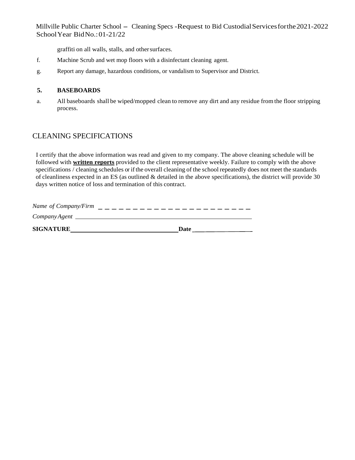graffiti on all walls, stalls, and other surfaces.

- f. Machine Scrub and wet mop floors with a disinfectant cleaning agent.
- g. Report any damage, hazardous conditions, or vandalism to Supervisor and District.

#### **5. BASEBOARDS**

a. All baseboards shall be wiped/mopped clean to remove any dirt and any residue from the floor stripping process.

## CLEANING SPECIFICATIONS

I certify that the above information was read and given to my company. The above cleaning schedule will be followed with **written reports** provided to the client representative weekly. Failure to comply with the above specifications / cleaning schedules or if the overall cleaning of the school repeatedly does not meet the standards of cleanliness expected in an ES (as outlined & detailed in the above specifications), the district will provide 30 days written notice of loss and termination of this contract.

| Name of Company/Firm |      |
|----------------------|------|
| CompanyAgent         |      |
| <b>SIGNATURE</b>     | Date |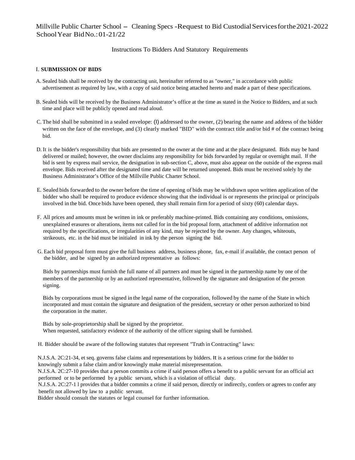Instructions To Bidders And Statutory Requirements

#### I. **SUBMISSION OF BIDS**

- A. Sealed bids shall be received by the contracting unit, hereinafter referred to as "owner," in accordance with public advertisement as required by law, with a copy of said notice being attached hereto and made a part of these specifications.
- B. Sealed bids will be received by the Business Administrator's office at the time as stated in the Notice to Bidders, and at such time and place will be publicly opened and read aloud.
- C. The bid shall be submitted in a sealed envelope: (I) addressed to the owner, (2) bearing the name and address of the bidder written on the face of the envelope, and (3) clearly marked "BID" with the contract title and/or bid # of the contract being bid.
- D. It is the bidder's responsibility that bids are presented to the owner at the time and at the place designated. Bids may be hand delivered or mailed; however, the owner disclaims any responsibility for bids forwarded by regular or overnight mail. If the bid is sent by express mail service, the designation in sub-section C, above, must also appear on the outside of the express mail envelope. Bids received after the designated time and date will be returned unopened. Bids must be received solely by the Business Administrator's Office of the Millville Public Charter School.
- E. Sealed bids forwarded to the owner before the time of opening of bids may be withdrawn upon written application of the bidder who shall be required to produce evidence showing that the individual is or represents the principal or principals involved in the bid. Once bids have been opened, they shall remain firm for a period of sixty (60) calendar days.
- F. All prices and amounts must be written in ink or preferably machine-printed. Bids containing any conditions, omissions, unexplained erasures or alterations, items not called for in the bid proposal form, attachment of additive information not required by the specifications, or irregularities of any kind, may be rejected by the owner. Any changes, whiteouts, strikeouts, etc. in the bid must be initialed in ink by the person signing the bid.
- G. Each bid proposal form must give the full business address, business phone, fax, e-mail if available, the contact person of the bidder, and be signed by an authorized representative as follows:

Bids by partnerships must furnish the full name of all partners and must be signed in the partnership name by one of the members of the partnership or by an authorized representative, followed by the signature and designation of the person signing.

Bids by corporations must be signed in the legal name of the corporation, followed by the name of the State in which incorporated and must contain the signature and designation of the president, secretary or other person authorized to bind the corporation in the matter.

Bids by sole-proprietorship shall be signed by the proprietor. When requested, satisfactory evidence of the authority of the officer signing shall be furnished.

H. Bidder should be aware of the following statutes that represent "Truth in Contracting" laws:

N.J.S.A. 2C:21-34, et seq. governs false claims and representations by bidders. It is a serious crime for the bidder to knowingly submit a false claim and/or knowingly make material misrepresentation.

N.J.S.A. 2C:27-10 provides that a person commits a crime if said person offers a benefit to a public servant for an official act performed or to be performed by a public servant, which is a violation of official duty.

N.J.S.A. 2C:27-1 l provides that a bidder commits a crime if said person, directly or indirectly, confers or agrees to confer any benefit not allowed by law to a public servant.

Bidder should consult the statutes or legal counsel for further information.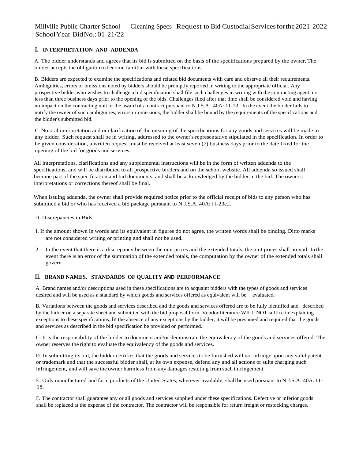#### **I. INTERPRETATION AND ADDENDA**

A. The bidder understands and agrees that its bid is submitted on the basis of the specifications prepared by the owner. The bidder accepts the obligation to become familiar with these specifications.

B. Bidders are expected to examine the specifications and related bid documents with care and observe all their requirements. Ambiguities, errors or omissions noted by bidders should be promptly reported in writing to the appropriate official. Any prospective bidder who wishes to challenge a bid specification shall file such challenges in writing with the contracting agent no less than three business days prior to the opening of the bids. Challenges filed after that time shall be considered void and having no impact on the contracting unit or the award of a contract pursuant to N.J.S.A. 40A: 11-13. In the event the bidder fails to notify the owner of such ambiguities, errors or omissions, the bidder shall be bound by the requirements of the specifications and the bidder's submitted bid.

C. No oral interpretation and or clarification of the meaning of the specifications for any goods and services will be made to any bidder. Such request shall be in writing, addressed to the owner's representative stipulated in the specification. In order to be given consideration, a written request must be received at least seven (7) business days prior to the date fixed for the opening of the bid for goods and services.

All interpretations, clarifications and any supplemental instructions will be in the form of written addenda to the specifications, and will be distributed to all prospective bidders and on the school website. All addenda so issued shall become part of the specification and bid documents, and shall be acknowledged by the bidder in the bid. The owner's interpretations or corrections thereof shall be final.

When issuing addenda, the owner shall provide required notice prior to the official receipt of bids to any person who has submitted a bid or who has received a bid package pursuant to N.J.S.A. 40A: l l-23c.l.

- D. Discrepancies in Bids
- l. If the amount shown in words and its equivalent in figures do not agree, the written words shall be binding. Ditto marks are not considered writing or printing and shall not be used.
- 2. In the event that there is a discrepancy between the unit prices and the extended totals, the unit prices shall prevail. In the event there is an error of the summation of the extended totals, the computation by the owner of the extended totals shall govern.

#### **II. BRAND NAMES, STANDARDS OF QUALITY AND PERFORMANCE**

A. Brand names and/or descriptions used in these specifications are to acquaint bidders with the types of goods and services desired and will be used as a standard by which goods and services offered as equivalent will be evaluated.

B. Variations between the goods and services described and the goods and services offered are to be fully identified and described by the bidder on a separate sheet and submitted with the bid proposal form. Vendor literature WILL NOT suffice in explaining exceptions to these specifications. In the absence of any exceptions by the bidder, it will be presumed and required that the goods and services as described in the bid specification be provided or performed.

C. It is the responsibility of the bidder to document and/or demonstrate the equivalency of the goods and services offered. The owner reserves the right to evaluate the equivalency of the goods and services.

D. In submitting its bid, the bidder certifies that the goods and services to be furnished will not infringe upon any valid patent or trademark and that the successful bidder shall, at its own expense, defend any and all actions or suits charging such infringement, and will save the owner harmless from any damages resulting from such infringement.

E. Only manufactured and farm products of the United States, wherever available, shall be used pursuant to N.J.S.A. 40A: 11- 18.

F. The contractor shall guarantee any or all goods and services supplied under these specifications. Defective or inferior goods shall be replaced at the expense of the contractor. The contractor will be responsible for return freight or restocking charges.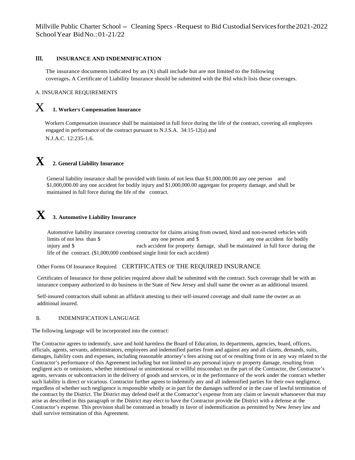#### **III. INSURANCE AND INDEMNIFICATION**

The insurance documents indicated by an (X) shall include but are not limited to the following coverages**.** A Certificate of Liability Insurance should be submitted with the Bid which lists these coverages.

#### A. INSURANCE REQUIREMENTS

## $\boldsymbol{\mathrm{X}}$  **1. Worker's Compensation Insurance**

Workers Compensation insurance shall be maintained in full force during the life of the contract, covering all employees engaged in performance of the contract pursuant to N.J.S.A. 34:15-12(a) and N.J.A.C. 12:235-1.6.

## **X 2. General Liability Insurance**

General liability insurance shall be provided with limits of not less than \$1,000,000.00 any one person and \$1,000,000.00 any one accident for bodily injury and \$1,000,000.00 aggregate for property damage, and shall be maintained in full force during the life of the contract.

## **X 3. Automotive Liability Insurance**

Automotive liability insurance covering contractor for claims arising from owned, hired and non-owned vehicles with limits of not less than \$ any one person and \$ any one accident for bodily injury and \$ each accident for property damage, shall be maintained in full force during the life of the contract. (\$1,000,000 combined single limit for each accident)

#### Other Forms Of Insurance Required CERTIFICATES OF THE REQUIRED INSURANCE

Certificates of Insurance for those policies required above shall be submitted with the contract. Such coverage shall be with an insurance company authorized to do business in the State of New Jersey and shall name the owner as an additional insured.

Self-insured contractors shall submit an affidavit attesting to their self-insured coverage and shall name the owner as an additional insured.

#### B. INDEMNIFICATION LANGUAGE

The following language will be incorporated into the contract:

The Contractor agrees to indemnify, save and hold harmless the Board of Education, its departments, agencies, board, officers, officials, agents, servants, administrators, employees and indemnified parties from and against any and all claims, demands, suits, damages, liability costs and expenses, including reasonable attorney's fees arising out of or resulting from or in any way related to the Contractor's performance of this Agreement including but not limited to any personal injury or property damage, resulting from negligent acts or omissions, whether intentional or unintentional or willful misconduct on the part of the Contractor, the Contractor's agents, servants or subcontractors in the delivery of goods and services, or in the performance of the work under the contract whether such liability is direct or vicarious. Contractor further agrees to indemnify any and all indemnified parties for their own negligence, regardless of whether such negligence is responsible wholly or in part for the damages suffered or in the case of lawful termination of the contract by the District. The District may defend itself at the Contractor's expense from any claim or lawsuit whatsoever that may arise as described in this paragraph or the District may elect to have the Contractor provide the District with a defense at the Contractor's expense. This provision shall be construed as broadly in favor of indemnification as permitted by New Jersey law and shall survive termination of this Agreement.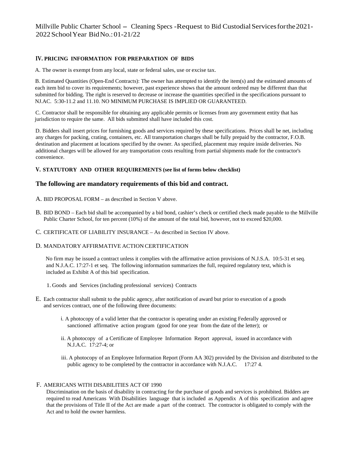#### **IV. PRICING INFORMATION FOR PREPARATION OF BIDS**

A. The owner is exempt from any local, state or federal sales, use or excise tax.

B. Estimated Quantities (Open-End Contracts): The owner has attempted to identify the item(s) and the estimated amounts of each item bid to cover its requirements; however, past experience shows that the amount ordered may be different than that submitted for bidding. The right is reserved to decrease or increase the quantities specified in the specifications pursuant to NJ.AC. 5:30-11.2 and 11.10. NO MINIMUM PURCHASE IS IMPLIED OR GUARANTEED.

C. Contractor shall be responsible for obtaining any applicable permits or licenses from any government entity that has jurisdiction to require the same. All bids submitted shall have included this cost.

D. Bidders shall insert prices for furnishing goods and services required by these specifications. Prices shall be net, including any charges for packing, crating, containers, etc. All transportation charges shall be fully prepaid by the contractor, F.O.B. destination and placement at locations specified by the owner. As specified, placement may require inside deliveries. No additional charges will be allowed for any transportation costs resulting from partial shipments made for the contractor's convenience.

#### **V. STATUTORY AND OTHER REQUIREMENTS (see list of forms below checklist)**

#### **The following are mandatory requirements of this bid and contract.**

- A. BID PROPOSAL FORM as described in Section V above.
- B. BID BOND Each bid shall be accompanied by a bid bond, cashier's check or certified check made payable to the Millville Public Charter School, for ten percent (10%) of the amount of the total bid, however, not to exceed \$20,000.
- C. CERTIFICATE OF LIABILITY INSURANCE As described in Section IV above.

#### D. MANDATORY AFFIRMATIVE ACTION CERTIFICATION

No firm may be issued a contract unless it complies with the affirmative action provisions of N.J.S.A. 10:5-31 et seq. and N.J.A.C. 17:27-1 et seq. The following information summarizes the full, required regulatory text, which is included as Exhibit A of this bid specification.

- 1. Goods and Services (including professional services) Contracts
- E. Each contractor shall submit to the public agency, after notification of award but prior to execution of a goods and services contract, one of the following three documents:
	- i. A photocopy of a valid letter that the contractor is operating under an existing Federally approved or sanctioned affirmative action program (good for one year from the date of the letter); or
	- ii. A photocopy of a Certificate of Employee Information Report approval, issued in accordance with N.J.A.C. 17:27-4; or
	- iii. A photocopy of an Employee Information Report (Form AA 302) provided by the Division and distributed to the public agency to be completed by the contractor in accordance with N.J.A.C. 17:27 4.

#### F. AMERICANS WITH DISABILITIES ACT OF 1990

Discrimination on the basis of disability in contracting for the purchase of goods and services is prohibited. Bidders are required to read Americans With Disabilities language that is included as Appendix A of this specification and agree that the provisions of Title II of the Act are made a part of the contract. The contractor is obligated to comply with the Act and to hold the owner harmless.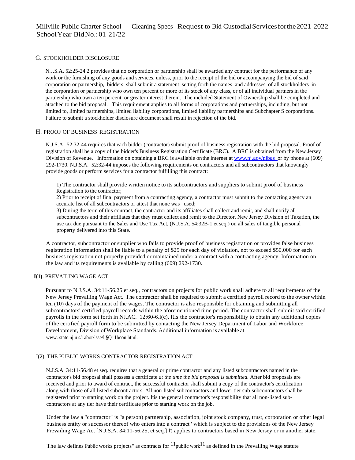#### G. STOCKHOLDER DISCLOSURE

N.J.S.A. 52:25-24.2 provides that no corporation or partnership shall be awarded any contract for the performance of any work or the furnishing of any goods and services, unless, prior to the receipt of the bid or accompanying the bid of said corporation or partnership, bidders shall submit a statement setting forth the names and addresses of all stockholders in the corporation or partnership who own ten percent or more of its stock of any class, or of all individual partners in the partnership who own a ten percent or greater interest therein. The included Statement of Ownership shall be completed and attached to the bid proposal. This requirement applies to all forms of corporations and partnerships, including, but not limited to, limited partnerships, limited liability corporations, limited liability partnerships and Subchapter S corporations. Failure to submit a stockholder disclosure document shall result in rejection of the bid.

#### H. PROOF OF BUSINESS REGISTRATION

N.J.S.A. 52:32-44 requires that each bidder (contractor) submit proof of business registration with the bid proposal. Proof of registration shall be a copy of the bidder's Business Registration Certificate (BRC). A BRC is obtained from the New Jersey Division of Revenue. Information on obtaining a BRC is available on the internet at www.nj.gov/njbgs or by phone at (609) 292-1730. N.J.S.A. 52:32-44 imposes the following requirements on contractors and all subcontractors that knowingly provide goods or perform services for a contractor fulfilling this contract:

I) The contractor shall provide written notice to its subcontractors and suppliers to submit proof of business Registration to the contractor;

2) Prior to receipt of final payment from a contracting agency, a contractor must submit to the contacting agency an accurate list of all subcontractors or attest that none was used;

3) During the term of this contract, the contractor and its affiliates shall collect and remit, and shall notify all subcontractors and their affiliates that they must collect and remit to the Director, New Jersey Division of Taxation, the use tax due pursuant to the Sales and Use Tax Act, (N.J.S.A. 54:32B-1 et seq.) on all sales of tangible personal property delivered into this State.

A contractor, subcontractor or supplier who fails to provide proof of business registration or provides false business registration information shall be liable to a penalty of \$25 for each day of violation, not to exceed \$50,000 for each business registration not properly provided or maintained under a contract with a contracting agency. Information on the law and its requirements is available by calling (609) 292-1730.

#### **I(1)**. PREVAILING WAGE ACT

Pursuant to N.J.S.A. 34:11-56.25 et seq., contractors on projects for public work shall adhere to all requirements of the New Jersey Prevailing Wage Act. The contractor shall be required to submit a certified payroll record to the owner within ten (10) days of the payment of the wages. The contractor is also responsible for obtaining and submitting all subcontractors' certified payroll records within the aforementioned time period. The contractor shall submit said certified payrolls in the form set forth in NJ.AC. 12:60-6.l(c). Itis the contractor's responsibility to obtain any additional copies of the certified payroll form to be submitted by contacting the New Jersey Department of Labor and Workforce Development, Division of Workplace Standards. Additional information is available at www. state.nj.u s/1abor/lsse/l.§Q11bcon.html.

#### I(2). THE PUBLIC WORKS CONTRACTOR REGISTRATION ACT

N.J.S.A. 34:11-56.48 et seq. requires that a general or prime contractor and any listed subcontractors named in the contractor's bid proposal shall possess a certificate *at the time the bid proposal is submitted.* After bid proposals are received and prior to award of contract, the successful contractor shall submit a copy of the contractor's certification along with those of all listed subcontractors. All non-listed subcontractors and lower tier sub-subcontractors shall be registered prior to starting work on the project. Itis the general contractor's responsibility that all non-listed subcontractors at any tier have their certificate prior to starting work on the job.

Under the law a "contractor" is "a person) partnership, association, joint stock company, trust, corporation or other legal business entity or successor thereof who enters into a contract ' which is subject to the provisions of the New Jersey Prevailing Wage Act [N.J.S.A. 34:11-56.25, et seq.] It applies to contractors based in New Jersey or in another state.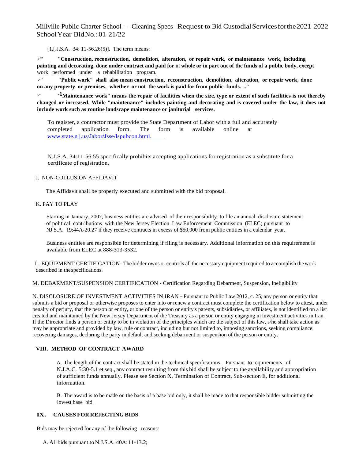[1, [J.S.A. 34: 11-56.26(5)]. The term means:

*>'"* **"Construction, reconstruction, demolition, alteration, or repair work, or maintenance work, including painting and decorating, done under contract and paid for** in **whole or in part out of the funds of a public body, except**  work performed under a rehabilitation program.

*>'"* **"Public work" shall also mean construction, reconstruction, demolition, alteration, or repair work, done on any property or premises, whether or not the work is paid for from public funds. .."** 

*<sup>&</sup>gt;'"* **' 1Maintenance work" means the repair of facilities when the size, type or extent of such facilities is not thereby changed or increased. While "maintenance" includes painting and decorating and is covered under the law, it does not include work such as routine landscape maintenance or janitorial services.** 

To register, a contractor must provide the State Department of Labor with a full and accurately completed application form. The form is available online at www.state.n j.us/Jabor/Jsse/lspubcon.html.

N.J.S.A. 34:11-56.55 specifically prohibits accepting applications for registration as a substitute for a certificate of registration.

#### J. NON-COLLUSION AFFIDAVIT

The Affidavit shall be properly executed and submitted with the bid proposal.

#### K. PAY TO PLAY

Starting in January, 2007, business entities are advised of their responsibility to file an annual disclosure statement of political contributions with the New Jersey Election Law Enforcement Commission (ELEC) pursuant to NJ.S.A. 19:44A-20.27 if they receive contracts in excess of \$50,000 from public entities in a calendar year.

Business entities are responsible for determining if filing is necessary. Additional information on this requirement is available from ELEC at 888-313-3532.

L. EQUIPMENT CERTIFICATION- The bidder owns or controls all the necessary equipment required to accomplish the work described in the specifications.

M. DEBARMENT/SUSPENSION CERTIFICATION - Certification Regarding Debarment, Suspension, Ineligibility

N. DISCLOSURE OF INVESTMENT ACTIVITIES IN IRAN - Pursuant to Public Law 2012, c. 25, any person or entity that submits a bid or proposal or otherwise proposes to enter into or renew a contract must complete the certification below to attest, under penalty of perjury, that the person or entity, or one of the person or entity's parents, subsidiaries, or affiliates, is not identified on a list created and maintained by the New Jersey Department of the Treasury as a person or entity engaging in investment activities in Iran. If the Director finds a person or entity to be in violation of the principles which are the subject of this law, s/he shall take action as may be appropriate and provided by law, rule or contract, including but not limited to, imposing sanctions, seeking compliance, recovering damages, declaring the party in default and seeking debarment or suspension of the person or entity.

#### **VIII. METHOD OF CONTRACT AWARD**

A. The length of the contract shall be stated in the technical specifications. Pursuant to requirements of N.J.A.C. 5:30-5.1 et seq., any contract resulting from this bid shall be subject to the availability and appropriation of sufficient funds annually. Please see Section X, Termination of Contract, Sub-section E, for additional information.

B. The award is to be made on the basis of a base bid only, it shall be made to that responsible bidder submitting the lowest base bid.

#### **IX. CAUSES FOR REJECTING BIDS**

Bids may be rejected for any of the following reasons:

A. All bids pursuant to N.J.S.A. 40A: 11-13.2;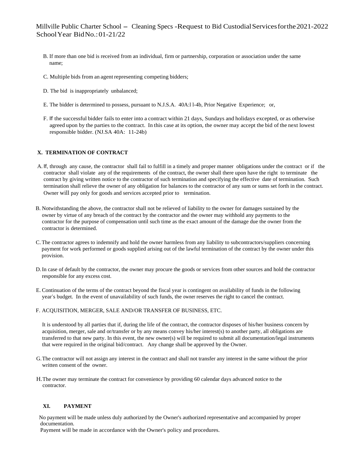- B. If more than one bid is received from an individual, firm or partnership, corporation or association under the same name;
- C. Multiple bids from an agent representing competing bidders;
- D. The bid is inappropriately unbalanced;
- E. The bidder is determined to possess, pursuant to N.J.S.A. 40A:l l-4b, Prior Negative Experience; or,
- F. If the successful bidder fails to enter into a contract within 21 days, Sundays and holidays excepted, or as otherwise agreed upon by the parties to the contract. In this case at its option, the owner may accept the bid of the next lowest responsible bidder. (NJ.SA 40A: 11-24b)

#### **X. TERMINATION OF CONTRACT**

- A. If, through any cause, the contractor shall fail to fulfill in a timely and proper manner obligations under the contract or if the contractor shall violate any of the requirements of the contract, the owner shall there upon have the right to terminate the contract by giving written notice to the contractor of such termination and specifying the effective date of termination. Such termination shall relieve the owner of any obligation for balances to the contractor of any sum or sums set forth in the contract. Owner will pay only for goods and services accepted prior to termination.
- B. Notwithstanding the above, the contractor shall not be relieved of liability to the owner for damages sustained by the owner by virtue of any breach of the contract by the contractor and the owner may withhold any payments to the contractor for the purpose of compensation until such time as the exact amount of the damage due the owner from the contractor is determined.
- C.The contractor agrees to indemnify and hold the owner harmless from any liability to subcontractors/suppliers concerning payment for work performed or goods supplied arising out of the lawful termination of the contract by the owner under this provision.
- D.In case of default by the contractor, the owner may procure the goods or services from other sources and hold the contractor responsible for any excess cost.
- E. Continuation of the terms of the contract beyond the fiscal year is contingent on availability of funds in the following year's budget. In the event of unavailability of such funds, the owner reserves the right to cancel the contract.
- F. ACQUISITION, MERGER, SALE AND/OR TRANSFER OF BUSINESS, ETC.

It is understood by all parties that if, during the life of the contract, the contractor disposes of his/her business concern by acquisition, merger, sale and or/transfer or by any means convey his/her interest(s) to another party, all obligations are transferred to that new party. In this event, the new owner(s) will be required to submit all documentation/legal instruments that were required in the original bid/contract. Any change shall be approved by the Owner.

- G.The contractor will not assign any interest in the contract and shall not transfer any interest in the same without the prior written consent of the owner.
- H.The owner may terminate the contract for convenience by providing 60 calendar days advanced notice to the contractor.

#### **XI. PAYMENT**

No payment will be made unless duly authorized by the Owner's authorized representative and accompanied by proper documentation.

Payment will be made in accordance with the Owner's policy and procedures.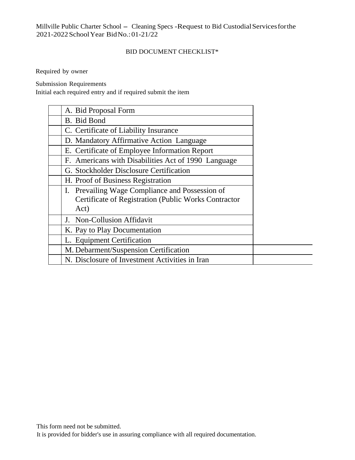### BID DOCUMENT CHECKLIST\*

Required by owner

Submission Requirements

Initial each required entry and if required submit the item

| A. Bid Proposal Form                                 |
|------------------------------------------------------|
| B. Bid Bond                                          |
| C. Certificate of Liability Insurance                |
| D. Mandatory Affirmative Action Language             |
| E. Certificate of Employee Information Report        |
| F. Americans with Disabilities Act of 1990 Language  |
| G. Stockholder Disclosure Certification              |
| H. Proof of Business Registration                    |
| I. Prevailing Wage Compliance and Possession of      |
| Certificate of Registration (Public Works Contractor |
| Act)                                                 |
| J. Non-Collusion Affidavit                           |
| K. Pay to Play Documentation                         |
| L. Equipment Certification                           |
| M. Debarment/Suspension Certification                |
| N. Disclosure of Investment Activities in Iran       |

It is provided for bidder's use in assuring compliance with all required documentation.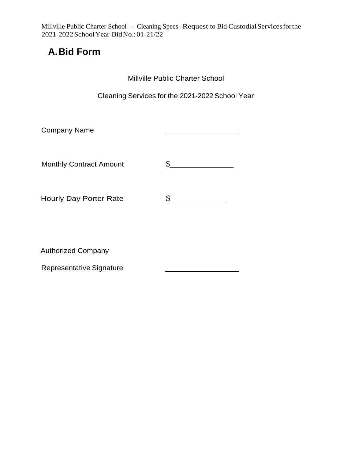## **A. Bid Form**

Millville Public Charter School

Cleaning Services for the 2021-2022 School Year

| <b>Company Name</b>            |  |
|--------------------------------|--|
|                                |  |
| <b>Monthly Contract Amount</b> |  |
|                                |  |
| <b>Hourly Day Porter Rate</b>  |  |

Authorized Company

Representative Signature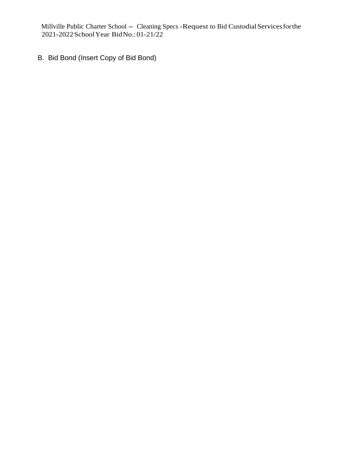B. Bid Bond (Insert Copy of Bid Bond)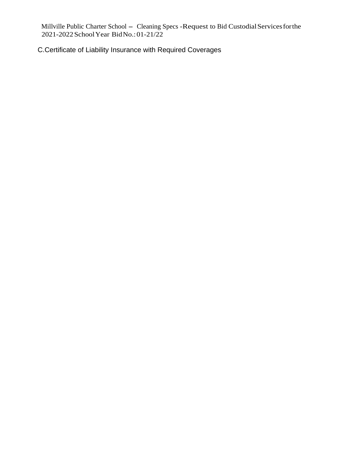C.Certificate of Liability Insurance with Required Coverages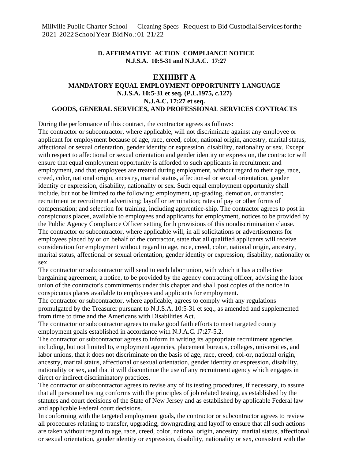### **D. AFFIRMATIVE ACTION COMPLIANCE NOTICE N.J.S.A. 10:5-31 and N.J.A.C. 17:27**

## **EXHIBIT A MANDATORY EQUAL EMPLOYMENT OPPORTUNITY LANGUAGE**

## **N.J.S.A. 10:5-31 et seq. (P.L.1975, c.127) N.J.A.C. 17:27 et seq. GOODS, GENERAL SERVICES, AND PROFESSIONAL SERVICES CONTRACTS**

During the performance of this contract, the contractor agrees as follows:

The contractor or subcontractor, where applicable, will not discriminate against any employee or applicant for employment because of age, race, creed, color, national origin, ancestry, marital status, affectional or sexual orientation, gender identity or expression, disability, nationality or sex. Except with respect to affectional or sexual orientation and gender identity or expression, the contractor will ensure that equal employment opportunity is afforded to such applicants in recruitment and employment, and that employees are treated during employment, without regard to their age, race, creed, color, national origin, ancestry, marital status, affection-al or sexual orientation, gender identity or expression, disability, nationality or sex. Such equal employment opportunity shall include, but not be limited to the following: employment, up-grading, demotion, or transfer; recruitment or recruitment advertising; layoff or termination; rates of pay or other forms of compensation; and selection for training, including apprentice-ship. The contractor agrees to post in conspicuous places, available to employees and applicants for employment, notices to be provided by the Public Agency Compliance Officer setting forth provisions of this nondiscrimination clause. The contractor or subcontractor, where applicable will, in all solicitations or advertisements for employees placed by or on behalf of the contractor, state that all qualified applicants will receive consideration for employment without regard to age, race, creed, color, national origin, ancestry, marital status, affectional or sexual orientation, gender identity or expression, disability, nationality or sex.

The contractor or subcontractor will send to each labor union, with which it has a collective bargaining agreement, a notice, to be provided by the agency contracting officer, advising the labor union of the contractor's commitments under this chapter and shall post copies of the notice in conspicuous places available to employees and applicants for employment.

The contractor or subcontractor, where applicable, agrees to comply with any regulations promulgated by the Treasurer pursuant to N.J.S.A. 10:5-31 et seq., as amended and supplemented from time to time and the Americans with Disabilities Act.

The contractor or subcontractor agrees to make good faith efforts to meet targeted county employment goals established in accordance with N.J.A.C. l7:27-5.2.

The contractor or subcontractor agrees to inform in writing its appropriate recruitment agencies including, but not limited to, employment agencies, placement bureaus, colleges, universities, and labor unions, that it does not discriminate on the basis of age, race, creed, col-or, national origin, ancestry, marital status, affectional or sexual orientation, gender identity or expression, disability, nationality or sex, and that it will discontinue the use of any recruitment agency which engages in direct or indirect discriminatory practices.

The contractor or subcontractor agrees to revise any of its testing procedures, if necessary, to assure that all personnel testing conforms with the principles of job related testing, as established by the statutes and court decisions of the State of New Jersey and as established by applicable Federal law and applicable Federal court decisions.

In conforming with the targeted employment goals, the contractor or subcontractor agrees to review all procedures relating to transfer, upgrading, downgrading and layoff to ensure that all such actions are taken without regard to age, race, creed, color, national origin, ancestry, marital status, affectional or sexual orientation, gender identity or expression, disability, nationality or sex, consistent with the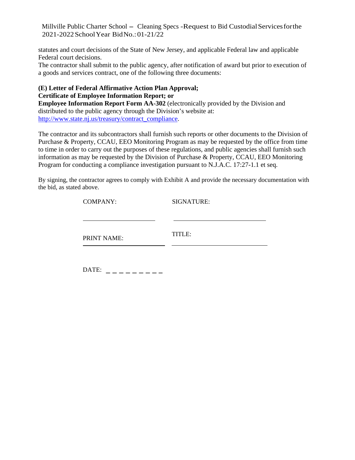statutes and court decisions of the State of New Jersey, and applicable Federal law and applicable Federal court decisions.

The contractor shall submit to the public agency, after notification of award but prior to execution of a goods and services contract, one of the following three documents:

## **(E) Letter of Federal Affirmative Action Plan Approval; Certificate of Employee Information Report; or**

**Employee Information Report Form AA-302** (electronically provided by the Division and distributed to the public agency through the Division's website at: http://www.state.nj.us/treasury/contract\_compliance.

The contractor and its subcontractors shall furnish such reports or other documents to the Division of Purchase & Property, CCAU, EEO Monitoring Program as may be requested by the office from time to time in order to carry out the purposes of these regulations, and public agencies shall furnish such information as may be requested by the Division of Purchase & Property, CCAU, EEO Monitoring Program for conducting a compliance investigation pursuant to N.J.A.C. 17:27-1.1 et seq.

By signing, the contractor agrees to comply with Exhibit A and provide the necessary documentation with the bid, as stated above.

| <b>COMPANY:</b> | <b>SIGNATURE:</b> |
|-----------------|-------------------|
|                 |                   |
| PRINT NAME:     | TITLE:            |
|                 |                   |

| DATE: |  |
|-------|--|
|       |  |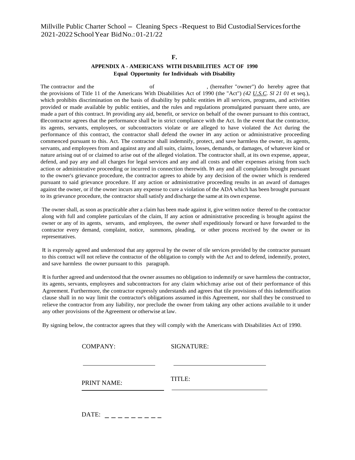#### **F.**

#### **APPENDIX A - AMERICANS WITH DISABILITIES ACT OF 1990 Equal Opportunity for Individuals with Disability**

The contractor and the of the of the of the contractor and the of the of the of the state of the of the of the of the of the of the of the of the of the of the of the of the of the of the of the of the of the of the of the the provisions of Title 11 of the Americans With Disabilities Act of 1990 (the "Act") *(42 U.S.C. Sl 21 01* et seq.), which prohibits discrimination on the basis of disability by public entities in all services, programs, and activities provided or made available by public entities, and the rules and regulations promulgated pursuant there unto, are made a part of this contract. In providing any aid, benefit, or service on behalf of the owner pursuant to this contract, tl1e contractor agrees that the performance shall be in strict compliance with the Act. In the event that the contractor, its agents, servants, employees, or subcontractors violate or are alleged to have violated the Act during the performance of this contract, the contractor shall defend the owner in any action or administrative proceeding commenced pursuant to this. Act. The contractor shall indemnify, protect, and save harmless the owner, its agents, servants, and employees from and against any and all suits, claims, losses, demands, or damages, of whatever kind or nature arising out of or claimed to arise out of the alleged violation. The contractor shall, at its own expense, appear, defend, and pay any and all charges for legal services and any and all costs and other expenses arising from such action or administrative proceeding or incurred in connection therewith. In any and all complaints brought pursuant to the owner's grievance procedure, the contractor agrees to abide by any decision of the owner which is rendered pursuant to said grievance procedure. If any action or administrative proceeding results in an award of damages against the owner, or if the owner incurs any expense to cure a violation of the ADA which has been brought pursuant to its grievance procedure, the contractor shall satisfy and discharge the same at its own expense.

The owner shall, as soon as practicable after a claim has been made against it, give written notice thereof to the contractor along with full and complete particulars of the claim, If any action or administrative proceeding is brought against the owner or any of its agents, servants, and employees, the *owner shall* expeditiously forward or have forwarded to the contractor every demand, complaint, notice, summons, pleading, or other process received by the owner or its representatives.

It is expressly agreed and understood that any approval by the owner of tile services provided by the contractor pursuant to this contract will not relieve the contractor of the obligation to comply with the Act and to defend, indemnify, protect, and save harmless the owner pursuant to this paragraph.

It is further agreed and understood that the owner assumes no obligation to indemnify or save harmless the contractor, its agents, servants, employees and subcontractors for any claim which may arise out of their performance of this Agreement. Furthermore, the contractor expressly understands and agrees that tile provisions of this indemnification clause shall in no way limit the contractor's obligations assumed in this Agreement, nor shall they be construed to relieve the contractor from any liability, nor preclude the owner from taking any other actions available to it under any other provisions of the Agreement or otherwise at law.

By signing below, the contractor agrees that they will comply with the Americans with Disabilities Act of 1990.

| <b>COMPANY:</b> | <b>SIGNATURE:</b> |  |  |
|-----------------|-------------------|--|--|
|                 |                   |  |  |
| PRINT NAME:     | TITLE:            |  |  |
|                 |                   |  |  |

DATE: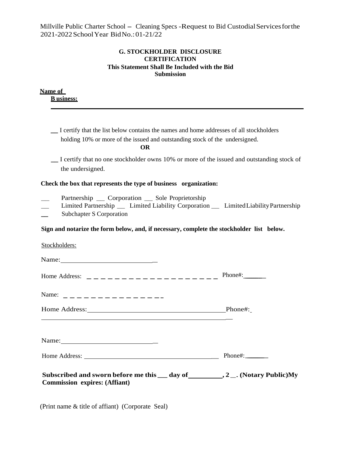### **G. STOCKHOLDER DISCLOSURE CERTIFICATION This Statement Shall Be Included with the Bid Submission**

| <u>Name of</u><br><b>B</b> usiness:                                                                                                                                                                                                                                                    |                   |
|----------------------------------------------------------------------------------------------------------------------------------------------------------------------------------------------------------------------------------------------------------------------------------------|-------------------|
|                                                                                                                                                                                                                                                                                        |                   |
| _I certify that the list below contains the names and home addresses of all stockholders<br>holding 10% or more of the issued and outstanding stock of the undersigned.<br><b>OR</b>                                                                                                   |                   |
| I certify that no one stockholder owns 10% or more of the issued and outstanding stock of<br>the undersigned.                                                                                                                                                                          |                   |
| Check the box that represents the type of business organization:                                                                                                                                                                                                                       |                   |
| Partnership __ Corporation __ Sole Proprietorship<br>Limited Partnership __ Limited Liability Corporation __ Limited Liability Partnership<br>Subchapter S Corporation                                                                                                                 |                   |
| Sign and notarize the form below, and, if necessary, complete the stockholder list below.                                                                                                                                                                                              |                   |
| Stockholders:                                                                                                                                                                                                                                                                          |                   |
| Name: $\frac{1}{2}$ Name: $\frac{1}{2}$ Name: $\frac{1}{2}$ Name: $\frac{1}{2}$ Name: $\frac{1}{2}$ Name: $\frac{1}{2}$ Name: $\frac{1}{2}$ Name: $\frac{1}{2}$ Name: $\frac{1}{2}$ Name: $\frac{1}{2}$ Name: $\frac{1}{2}$ Name: $\frac{1}{2}$ Name: $\frac{1}{2}$ Name: $\frac{1}{2$ |                   |
|                                                                                                                                                                                                                                                                                        | $Phone$ #: $\_\_$ |
|                                                                                                                                                                                                                                                                                        |                   |
|                                                                                                                                                                                                                                                                                        |                   |
|                                                                                                                                                                                                                                                                                        |                   |
|                                                                                                                                                                                                                                                                                        |                   |
| Subscribed and sworn before me this $\_\_$ day of __________, 2 ___. (Notary Public)My<br><b>Commission expires: (Affiant)</b>                                                                                                                                                         |                   |

(Print name & title of affiant) (Corporate Seal)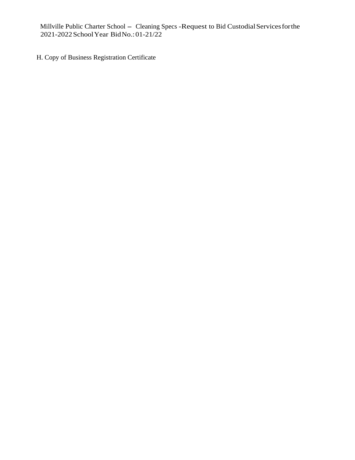H. Copy of Business Registration Certificate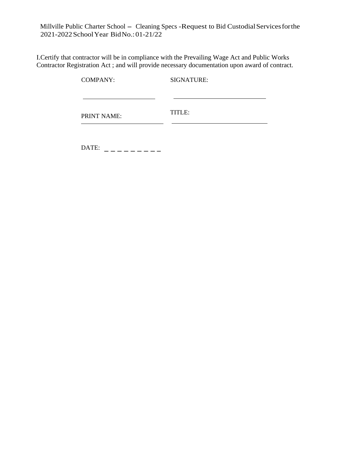I.Certify that contractor will be in compliance with the Prevailing Wage Act and Public Works Contractor Registration Act ; and will provide necessary documentation upon award of contract.

| <b>COMPANY:</b> | SIGNATURE: |  |  |
|-----------------|------------|--|--|
| PRINT NAME:     | TITLE:     |  |  |

DATE: \_\_\_\_\_\_\_\_\_\_\_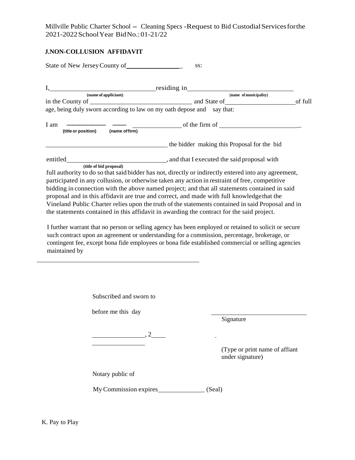## **J.NON-COLLUSION AFFIDAVIT**

State of New Jersey County of \_ ss: I, residing in  **(name of appliciant) (name of municipality)** in the County of \_\_\_\_\_\_\_\_\_\_\_\_\_\_\_\_\_\_\_\_\_\_\_\_\_\_\_\_\_\_\_\_ and State of o. f full age, being duly sworn according to law on my oath depose and say that:  $I$  am  $\overline{\phantom{a}}$   $\overline{\phantom{a}}$   $\overline{\phantom{a}}$   $\overline{\phantom{a}}$   $\overline{\phantom{a}}$  (title or position)  $\overline{\phantom{a}}$  (name of firm) **the bidder making this Proposal for the bid** entitled , and that I executed the said proposal with  **(title of bid proposal)** full authority to do so that said bidder has not, directly or indirectly entered into any agreement, participated in any collusion, or otherwise taken any action in restraint of free, competitive bidding in connection with the above named project; and that all statements contained in said proposal and in this affidavit are true and correct, and made with full knowledge that the Vineland Public Charter relies upon the truth of the statements contained in said Proposal and in the statements contained in this affidavit in awarding the contract for the said project. I further warrant that no person or selling agency has been employed or retained to solicit or secure such contract upon an agreement or understanding for a commission, percentage, brokerage, or contingent fee, except bona fide employees or bona fide established commercial or selling agencies maintained by

> Subscribed and sworn to before me this day Signature  $\overline{\phantom{a}}$ , 2  $\overline{a}$ (Type or print name of affiant under signature) Notary public of My Commission expires \_ (Seal)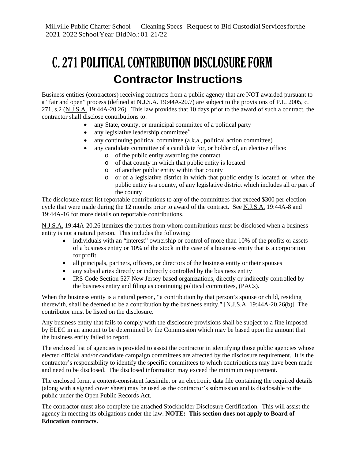# C. 271 POLITICAL CONTRIBUTION DISCLOSURE FORM **Contractor Instructions**

Business entities (contractors) receiving contracts from a public agency that are NOT awarded pursuant to a "fair and open" process (defined at N.J.S.A. 19:44A-20.7) are subject to the provisions of P.L. 2005, c. 271, s.2 (N.J.S.A. 19:44A-20.26). This law provides that 10 days prior to the award of such a contract, the contractor shall disclose contributions to:

- any State, county, or municipal committee of a political party
- any legislative leadership committee**\***
- any continuing political committee (a.k.a., political action committee)
- any candidate committee of a candidate for, or holder of, an elective office:
	- o of the public entity awarding the contract
	- o of that county in which that public entity is located
	- o of another public entity within that county
	- o or of a legislative district in which that public entity is located or, when the public entity is a county, of any legislative district which includes all or part of the county

The disclosure must list reportable contributions to any of the committees that exceed \$300 per election cycle that were made during the 12 months prior to award of the contract. See N.J.S.A. 19:44A-8 and 19:44A-16 for more details on reportable contributions.

N.J.S.A. 19:44A-20.26 itemizes the parties from whom contributions must be disclosed when a business entity is not a natural person. This includes the following:

- individuals with an "interest" ownership or control of more than 10% of the profits or assets of a business entity or 10% of the stock in the case of a business entity that is a corporation for profit
- all principals, partners, officers, or directors of the business entity or their spouses
- any subsidiaries directly or indirectly controlled by the business entity
- IRS Code Section 527 New Jersey based organizations, directly or indirectly controlled by the business entity and filing as continuing political committees, (PACs).

When the business entity is a natural person, "a contribution by that person's spouse or child, residing therewith, shall be deemed to be a contribution by the business entity." [N.J.S.A. 19:44A-20.26(b)] The contributor must be listed on the disclosure.

Any business entity that fails to comply with the disclosure provisions shall be subject to a fine imposed by ELEC in an amount to be determined by the Commission which may be based upon the amount that the business entity failed to report.

The enclosed list of agencies is provided to assist the contractor in identifying those public agencies whose elected official and/or candidate campaign committees are affected by the disclosure requirement. It is the contractor's responsibility to identify the specific committees to which contributions may have been made and need to be disclosed. The disclosed information may exceed the minimum requirement.

The enclosed form, a content-consistent facsimile, or an electronic data file containing the required details (along with a signed cover sheet) may be used as the contractor's submission and is disclosable to the public under the Open Public Records Act.

The contractor must also complete the attached Stockholder Disclosure Certification. This will assist the agency in meeting its obligations under the law. **NOTE: This section does not apply to Board of Education contracts.**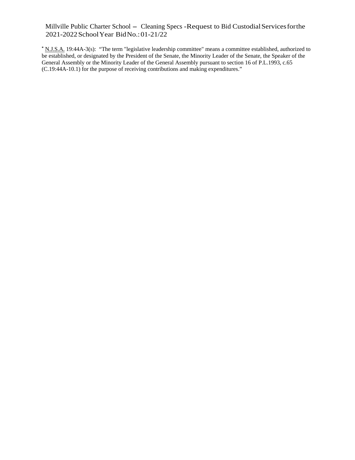**\*** N.J.S.A. 19:44A-3(s): "The term "legislative leadership committee" means a committee established, authorized to be established, or designated by the President of the Senate, the Minority Leader of the Senate, the Speaker of the General Assembly or the Minority Leader of the General Assembly pursuant to section 16 of P.L.1993, c.65 (C.19:44A-10.1) for the purpose of receiving contributions and making expenditures."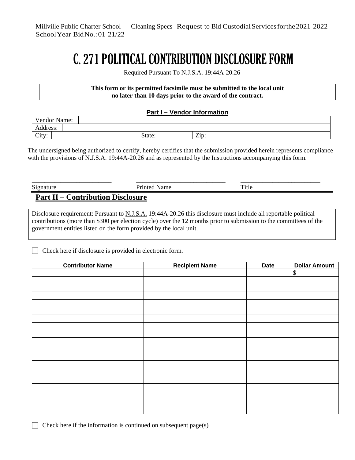# C. 271 POLITICAL CONTRIBUTION DISCLOSURE FORM

Required Pursuant To N.J.S.A. 19:44A-20.26

#### **This form or its permitted facsimile must be submitted to the local unit no later than 10 days prior to the award of the contract.**

## **Part I – Vendor Information**

| T<br>- -<br>Vendor Name:            |        |                                          |
|-------------------------------------|--------|------------------------------------------|
| . .<br>Address:                     |        |                                          |
| $\sim$<br>$+11.7.7$<br>$\mathsf{U}$ | State: | $\overline{\phantom{a}}$<br>$\angle$ 10. |

The undersigned being authorized to certify, hereby certifies that the submission provided herein represents compliance with the provisions of N.J.S.A. 19:44A-20.26 and as represented by the Instructions accompanying this form.

| Signature                                | <b>Printed Name</b> | Title |  |  |
|------------------------------------------|---------------------|-------|--|--|
| <b>Part II – Contribution Disclosure</b> |                     |       |  |  |

Disclosure requirement: Pursuant to N.J.S.A. 19:44A-20.26 this disclosure must include all reportable political contributions (more than \$300 per election cycle) over the 12 months prior to submission to the committees of the government entities listed on the form provided by the local unit.

Check here if disclosure is provided in electronic form.

| <b>Contributor Name</b> | <b>Recipient Name</b> | <b>Date</b> | <b>Dollar Amount</b> |
|-------------------------|-----------------------|-------------|----------------------|
|                         |                       |             | $\$$                 |
|                         |                       |             |                      |
|                         |                       |             |                      |
|                         |                       |             |                      |
|                         |                       |             |                      |
|                         |                       |             |                      |
|                         |                       |             |                      |
|                         |                       |             |                      |
|                         |                       |             |                      |
|                         |                       |             |                      |
|                         |                       |             |                      |
|                         |                       |             |                      |
|                         |                       |             |                      |
|                         |                       |             |                      |
|                         |                       |             |                      |
|                         |                       |             |                      |
|                         |                       |             |                      |
|                         |                       |             |                      |
|                         |                       |             |                      |

 $\Box$  Check here if the information is continued on subsequent page(s)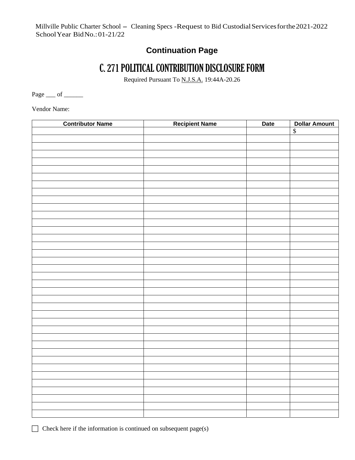## **Continuation Page**

## C. 271 POLITICAL CONTRIBUTION DISCLOSURE FORM

Required Pursuant To N.J.S.A. 19:44A-20.26

Page <u>\_\_\_</u> of \_\_\_\_\_\_

Vendor Name:

| <b>Contributor Name</b> | <b>Recipient Name</b> | <b>Date</b> | <b>Dollar Amount</b> |
|-------------------------|-----------------------|-------------|----------------------|
|                         |                       |             | $\overline{\$}$      |
|                         |                       |             |                      |
|                         |                       |             |                      |
|                         |                       |             |                      |
|                         |                       |             |                      |
|                         |                       |             |                      |
|                         |                       |             |                      |
|                         |                       |             |                      |
|                         |                       |             |                      |
|                         |                       |             |                      |
|                         |                       |             |                      |
|                         |                       |             |                      |
|                         |                       |             |                      |
|                         |                       |             |                      |
|                         |                       |             |                      |
|                         |                       |             |                      |
|                         |                       |             |                      |
|                         |                       |             |                      |
|                         |                       |             |                      |
|                         |                       |             |                      |
|                         |                       |             |                      |
|                         |                       |             |                      |
|                         |                       |             |                      |
|                         |                       |             |                      |
|                         |                       |             |                      |
|                         |                       |             |                      |
|                         |                       |             |                      |
|                         |                       |             |                      |
|                         |                       |             |                      |
|                         |                       |             |                      |
|                         |                       |             |                      |
|                         |                       |             |                      |
|                         |                       |             |                      |
|                         |                       |             |                      |
|                         |                       |             |                      |
|                         |                       |             |                      |
|                         |                       |             |                      |
|                         |                       |             |                      |
|                         |                       |             |                      |

 $\Box$  Check here if the information is continued on subsequent page(s)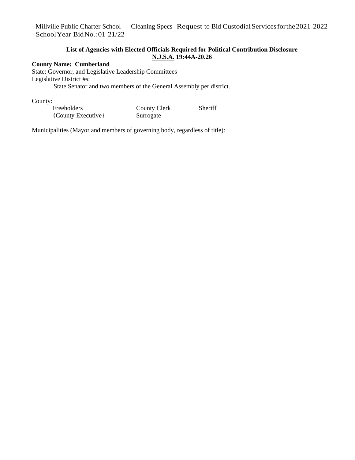### **List of Agencies with Elected Officials Required for Political Contribution Disclosure N.J.S.A. 19:44A-20.26**

### **County Name: Cumberland**

State: Governor, and Legislative Leadership Committees Legislative District #s: State Senator and two members of the General Assembly per district.

County:

| Freeholders        | <b>County Clerk</b> | Sheriff |
|--------------------|---------------------|---------|
| {County Executive} | Surrogate           |         |

Municipalities (Mayor and members of governing body, regardless of title):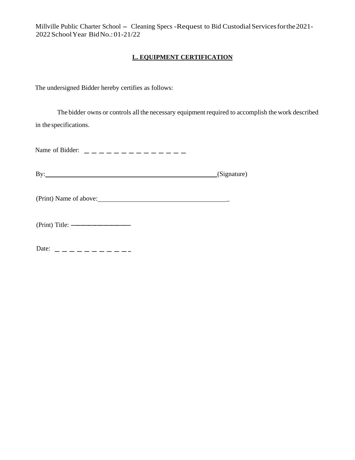## **L. EQUIPMENT CERTIFICATION**

The undersigned Bidder hereby certifies as follows:

The bidder owns or controls all the necessary equipment required to accomplish the work described in the specifications.

Name of Bidder: --------------

By: (Signature) (Signature)

(Print) Name of above: \_

| (Print) Title: — |  |  |
|------------------|--|--|

Date:-----------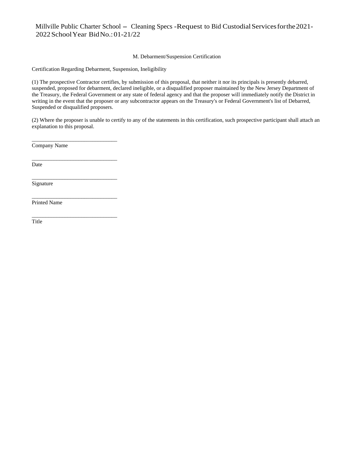#### M. Debarment/Suspension Certification

Certification Regarding Debarment, Suspension, Ineligibility

(1) The prospective Contractor certifies, by submission of this proposal, that neither it nor its principals is presently debarred, suspended, proposed for debarment, declared ineligible, or a disqualified proposer maintained by the New Jersey Department of the Treasury, the Federal Government or any state of federal agency and that the proposer will immediately notify the District in writing in the event that the proposer or any subcontractor appears on the Treasury's or Federal Government's list of Debarred, Suspended or disqualified proposers.

(2) Where the proposer is unable to certify to any of the statements in this certification, such prospective participant shall attach an explanation to this proposal.

Company Name

\_\_\_\_\_\_\_\_\_\_\_\_\_\_\_\_\_\_\_\_\_\_\_\_\_\_\_\_\_\_\_

\_\_\_\_\_\_\_\_\_\_\_\_\_\_\_\_\_\_\_\_\_\_\_\_\_\_\_\_\_\_\_

\_\_\_\_\_\_\_\_\_\_\_\_\_\_\_\_\_\_\_\_\_\_\_\_\_\_\_\_\_\_\_

\_\_\_\_\_\_\_\_\_\_\_\_\_\_\_\_\_\_\_\_\_\_\_\_\_\_\_\_\_\_\_

\_\_\_\_\_\_\_\_\_\_\_\_\_\_\_\_\_\_\_\_\_\_\_\_\_\_\_\_\_\_\_

Date

**Signature** 

Printed Name

Title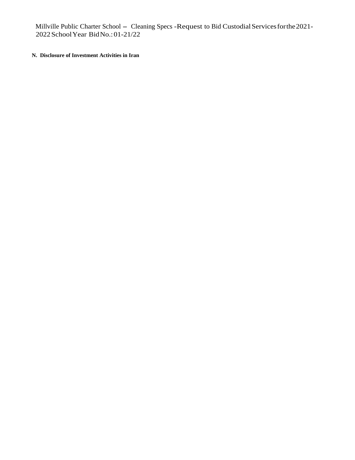### **N. Disclosure of Investment Activities in Iran**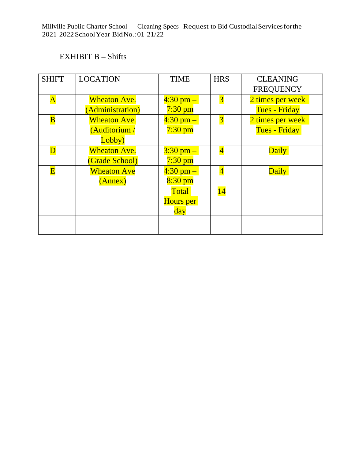## EXHIBIT B – Shifts

| <b>SHIFT</b>            | <b>LOCATION</b>         | <b>TIME</b>         | <b>HRS</b>              | <b>CLEANING</b>      |
|-------------------------|-------------------------|---------------------|-------------------------|----------------------|
|                         |                         |                     |                         | <b>FREQUENCY</b>     |
| $\overline{\mathbf{A}}$ | <b>Wheaton Ave.</b>     | $4:30$ pm $-$       | $\overline{\mathbf{3}}$ | 2 times per week     |
|                         | <b>Administration</b> ) | $7:30$ pm           |                         | <b>Tues - Friday</b> |
| $\overline{\mathbf{B}}$ | <b>Wheaton Ave.</b>     | $4:30$ pm $-$       | $\overline{\mathbf{3}}$ | 2 times per week     |
|                         | (Auditorium /           | $7:30$ pm           |                         | <b>Tues - Friday</b> |
|                         | Lobby)                  |                     |                         |                      |
|                         | <b>Wheaton Ave.</b>     | $3:30 \text{ pm} -$ | $\overline{\mathbf{4}}$ | Daily                |
|                         | <b>(Grade School)</b>   | $7:30$ pm           |                         |                      |
| $\overline{\mathbf{E}}$ | <b>Wheaton Ave</b>      | $4:30 \text{ pm} -$ | $\overline{\mathbf{4}}$ | Daily                |
|                         | (Annex)                 | $8:30$ pm           |                         |                      |
|                         |                         | <b>Total</b>        | 14                      |                      |
|                         |                         | Hours per           |                         |                      |
|                         |                         | day                 |                         |                      |
|                         |                         |                     |                         |                      |
|                         |                         |                     |                         |                      |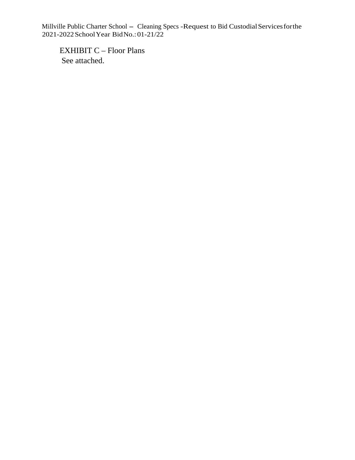EXHIBIT C – Floor Plans See attached.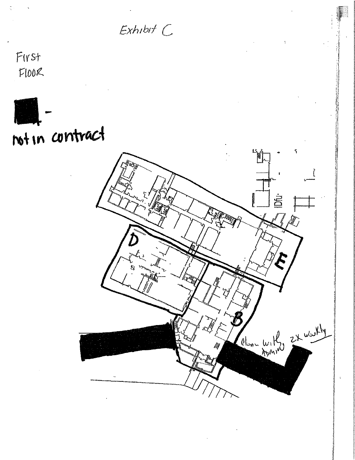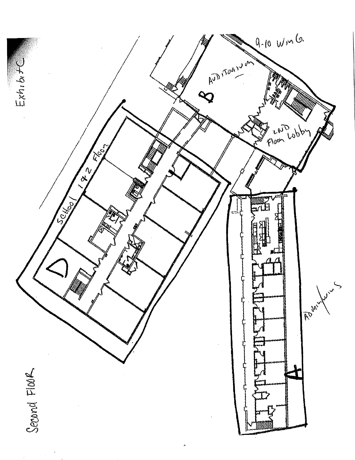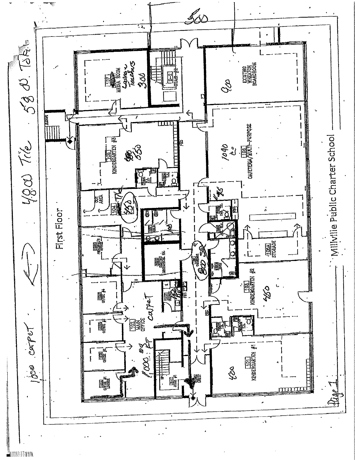

**BUTHIN**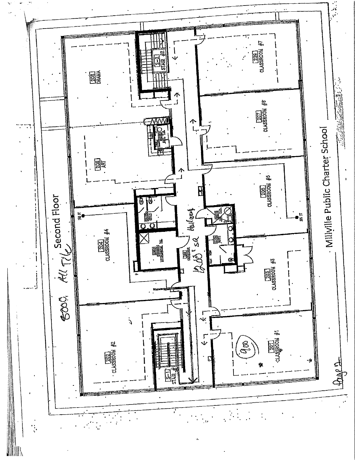

**IIIII**N